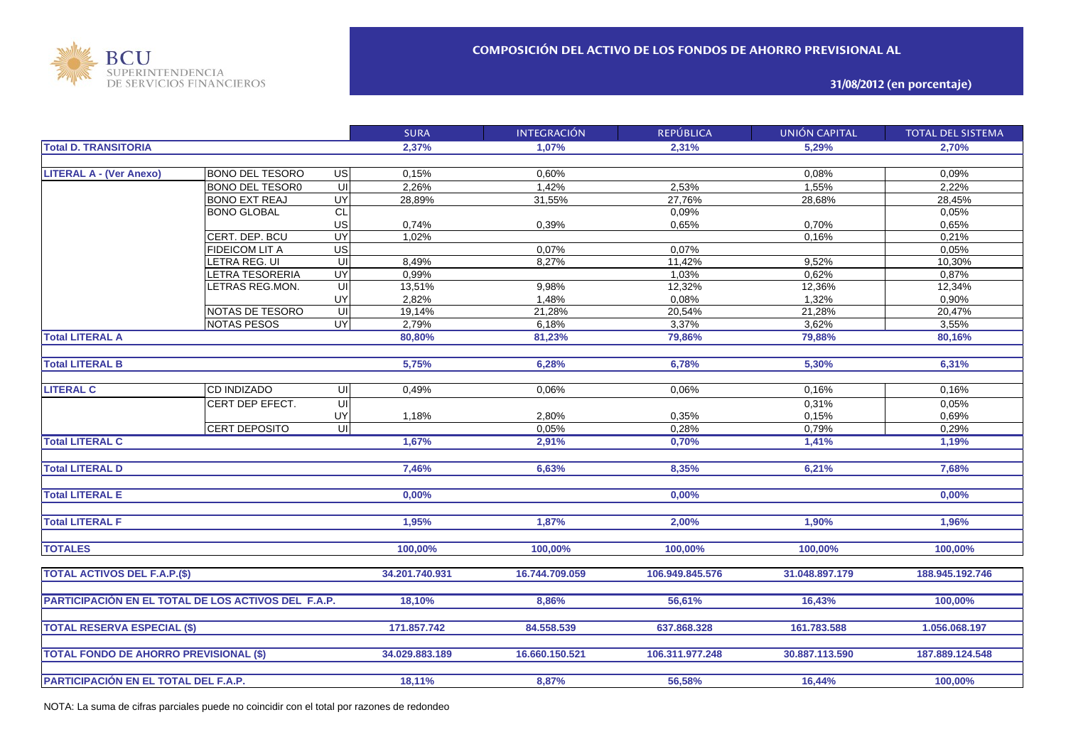

**31/08/2012 (en porcentaje)**

|                                                     |                        |                         | <b>SURA</b>    | <b>INTEGRACIÓN</b> | <b>REPÚBLICA</b> | <b>UNIÓN CAPITAL</b> | <b>TOTAL DEL SISTEMA</b> |
|-----------------------------------------------------|------------------------|-------------------------|----------------|--------------------|------------------|----------------------|--------------------------|
| <b>Total D. TRANSITORIA</b>                         |                        |                         | 2,37%          | 1.07%              | 2.31%            | 5.29%                | 2.70%                    |
|                                                     |                        |                         |                |                    |                  |                      |                          |
| <b>LITERAL A - (Ver Anexo)</b>                      | <b>BONO DEL TESORO</b> | US                      | 0,15%          | 0,60%              |                  | 0,08%                | 0,09%                    |
|                                                     | <b>BONO DEL TESOR0</b> | UI                      | 2,26%          | 1,42%              | 2.53%            | 1,55%                | 2,22%                    |
|                                                     | <b>BONO EXT REAJ</b>   | UY                      | 28,89%         | 31,55%             | 27,76%           | 28,68%               | 28,45%                   |
|                                                     | <b>BONO GLOBAL</b>     | <b>CL</b>               |                |                    | 0,09%            |                      | 0,05%                    |
|                                                     |                        | US                      | 0,74%          | 0,39%              | 0,65%            | 0,70%                | 0,65%                    |
|                                                     | CERT. DEP. BCU         | UY                      | 1,02%          |                    |                  | 0,16%                | 0,21%                    |
|                                                     | <b>FIDEICOM LIT A</b>  | US                      |                | 0,07%              | 0,07%            |                      | 0,05%                    |
|                                                     | LETRA REG. UI          | UI                      | 8,49%          | 8,27%              | 11,42%           | 9,52%                | 10,30%                   |
|                                                     | <b>ETRA TESORERIA</b>  | UY                      | 0,99%          |                    | 1,03%            | 0,62%                | 0,87%                    |
|                                                     | <b>ETRAS REG.MON.</b>  | $\overline{\mathsf{u}}$ | 13,51%         | 9,98%              | 12,32%           | 12,36%               | 12,34%                   |
|                                                     |                        | UY                      | 2,82%          | 1,48%              | 0,08%            | 1,32%                | 0,90%                    |
|                                                     | NOTAS DE TESORO        | $\overline{U}$          | 19,14%         | 21,28%             | 20,54%           | 21,28%               | 20,47%                   |
|                                                     | <b>NOTAS PESOS</b>     | <b>UY</b>               | 2,79%          | 6,18%              | 3,37%            | 3,62%                | 3,55%                    |
| <b>Total LITERAL A</b>                              |                        |                         | 80,80%         | 81,23%             | 79,86%           | 79,88%               | 80,16%                   |
|                                                     |                        |                         |                |                    |                  |                      |                          |
| <b>Total LITERAL B</b>                              |                        |                         | 5,75%          | 6,28%              | 6,78%            | 5,30%                | 6,31%                    |
|                                                     |                        |                         |                |                    |                  |                      |                          |
| <b>LITERAL C</b>                                    | <b>CD INDIZADO</b>     | UI                      | 0,49%          | 0.06%              | 0,06%            | 0.16%                | 0,16%                    |
|                                                     | CERT DEP EFECT.        | $\overline{\mathsf{U}}$ |                |                    |                  | 0,31%                | 0,05%                    |
|                                                     |                        | UY                      | 1,18%          | 2,80%              | 0,35%            | 0,15%                | 0,69%                    |
|                                                     | <b>CERT DEPOSITO</b>   | $\overline{u}$          |                | 0,05%              | 0,28%            | 0,79%                | 0,29%                    |
| <b>Total LITERAL C</b>                              |                        |                         | 1,67%          | 2,91%              | 0,70%            | 1,41%                | 1,19%                    |
|                                                     |                        |                         |                |                    |                  |                      |                          |
| <b>Total LITERAL D</b>                              |                        |                         | 7,46%          | 6,63%              | 8,35%            | 6,21%                | 7,68%                    |
|                                                     |                        |                         |                |                    |                  |                      |                          |
| <b>Total LITERAL E</b>                              |                        |                         | 0,00%          |                    | 0,00%            |                      | 0.00%                    |
|                                                     |                        |                         |                |                    |                  |                      |                          |
| <b>Total LITERAL F</b>                              |                        |                         | 1,95%          | 1,87%              | 2,00%            | 1,90%                | 1,96%                    |
|                                                     |                        |                         |                |                    |                  |                      |                          |
| <b>TOTALES</b>                                      |                        |                         | 100,00%        | 100,00%            | 100,00%          | 100,00%              | 100,00%                  |
|                                                     |                        |                         |                |                    |                  |                      |                          |
| <b>TOTAL ACTIVOS DEL F.A.P.(\$)</b>                 |                        |                         | 34.201.740.931 | 16.744.709.059     | 106.949.845.576  | 31.048.897.179       | 188.945.192.746          |
|                                                     |                        |                         |                |                    |                  |                      |                          |
| PARTICIPACIÓN EN EL TOTAL DE LOS ACTIVOS DEL F.A.P. |                        |                         | 18,10%         | 8,86%              | 56,61%           | 16,43%               | 100,00%                  |
|                                                     |                        |                         |                |                    |                  |                      |                          |
| <b>TOTAL RESERVA ESPECIAL (\$)</b>                  |                        |                         | 171.857.742    | 84.558.539         | 637.868.328      | 161.783.588          | 1.056.068.197            |
|                                                     |                        |                         |                |                    |                  |                      |                          |
| <b>TOTAL FONDO DE AHORRO PREVISIONAL (\$)</b>       |                        |                         | 34.029.883.189 | 16.660.150.521     | 106.311.977.248  | 30.887.113.590       | 187.889.124.548          |
|                                                     |                        |                         |                |                    |                  |                      |                          |
| PARTICIPACIÓN EN EL TOTAL DEL F.A.P.                |                        |                         | 18,11%         | 8,87%              | 56,58%           | 16,44%               | 100,00%                  |
|                                                     |                        |                         |                |                    |                  |                      |                          |

NOTA: La suma de cifras parciales puede no coincidir con el total por razones de redondeo